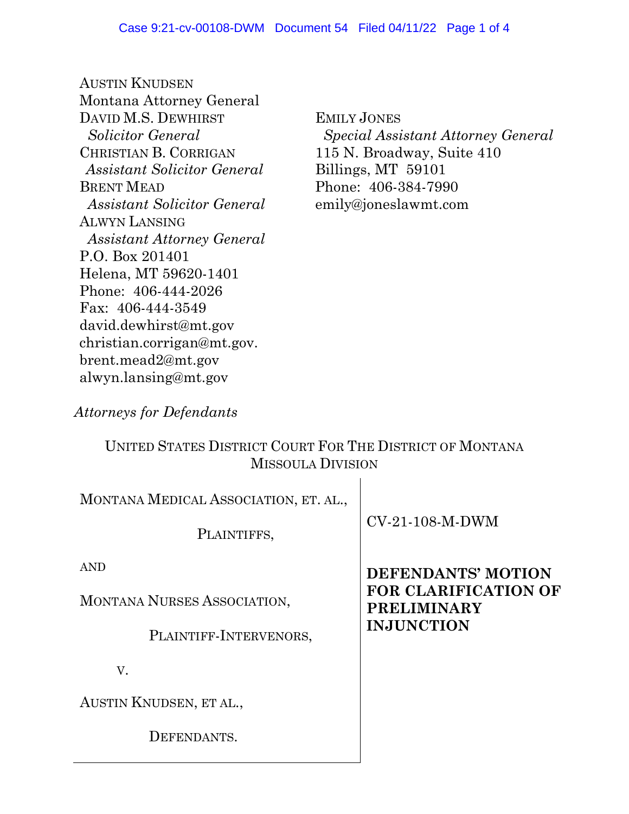AUSTIN KNUDSEN Montana Attorney General DAVID M.S. DEWHIRST *Solicitor General*  CHRISTIAN B. CORRIGAN *Assistant Solicitor General* BRENT MEAD *Assistant Solicitor General* ALWYN LANSING *Assistant Attorney General* P.O. Box 201401 Helena, MT 59620-1401 Phone: 406-444-2026 Fax: 406-444-3549 david.dewhirst@mt.gov christian.corrigan@mt.gov. brent.mead2@mt.gov alwyn.lansing@mt.gov

EMILY JONES  *Special Assistant Attorney General*  115 N. Broadway, Suite 410 Billings, MT 59101 Phone: 406-384-7990 emily@joneslawmt.com

*Attorneys for Defendants* 

## UNITED STATES DISTRICT COURT FOR THE DISTRICT OF MONTANA MISSOULA DIVISION

| MONTANA MEDICAL ASSOCIATION, ET. AL.,<br>PLAINTIFFS,                | $CV-21-108-M-DWM$                                                                            |
|---------------------------------------------------------------------|----------------------------------------------------------------------------------------------|
| <b>AND</b><br>MONTANA NURSES ASSOCIATION,<br>PLAINTIFF-INTERVENORS, | DEFENDANTS' MOTION<br><b>FOR CLARIFICATION OF</b><br><b>PRELIMINARY</b><br><b>INJUNCTION</b> |
| V.                                                                  |                                                                                              |
| AUSTIN KNUDSEN, ET AL.,                                             |                                                                                              |
| DEFENDANTS.                                                         |                                                                                              |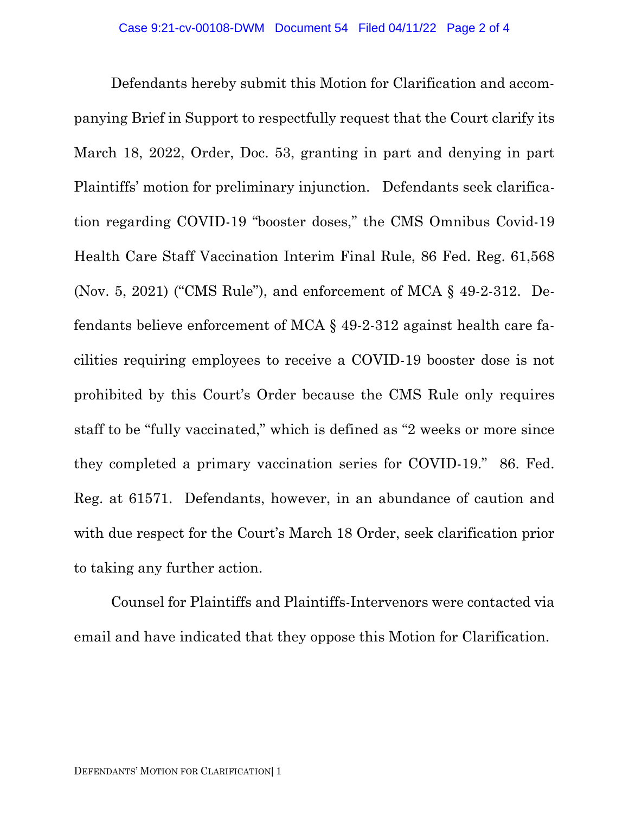Defendants hereby submit this Motion for Clarification and accompanying Brief in Support to respectfully request that the Court clarify its March 18, 2022, Order, Doc. 53, granting in part and denying in part Plaintiffs' motion for preliminary injunction. Defendants seek clarification regarding COVID-19 "booster doses," the CMS Omnibus Covid-19 Health Care Staff Vaccination Interim Final Rule, 86 Fed. Reg. 61,568 (Nov. 5, 2021) ("CMS Rule"), and enforcement of MCA § 49-2-312. Defendants believe enforcement of MCA § 49-2-312 against health care facilities requiring employees to receive a COVID-19 booster dose is not prohibited by this Court's Order because the CMS Rule only requires staff to be "fully vaccinated," which is defined as "2 weeks or more since they completed a primary vaccination series for COVID-19." 86. Fed. Reg. at 61571. Defendants, however, in an abundance of caution and with due respect for the Court's March 18 Order, seek clarification prior to taking any further action.

Counsel for Plaintiffs and Plaintiffs-Intervenors were contacted via email and have indicated that they oppose this Motion for Clarification.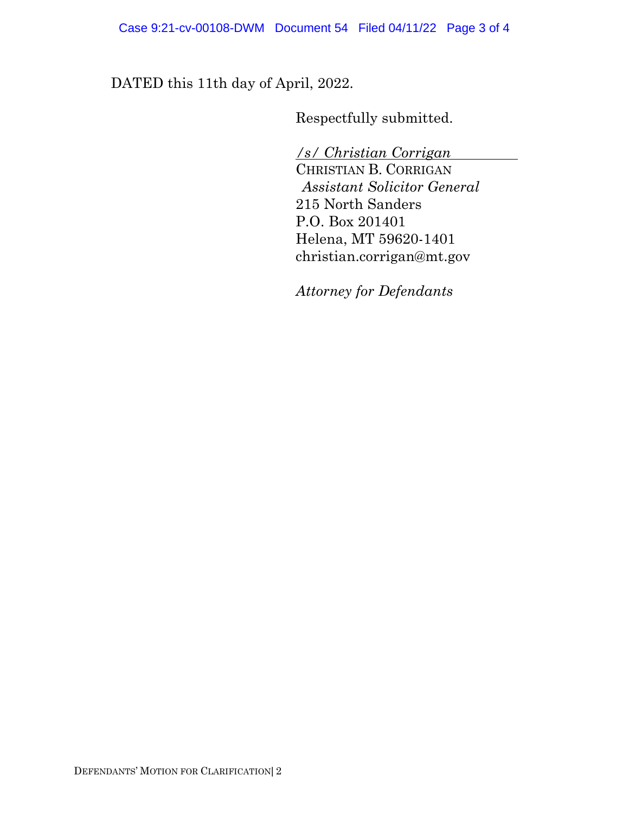Case 9:21-cv-00108-DWM Document 54 Filed 04/11/22 Page 3 of 4

DATED this 11th day of April, 2022.

Respectfully submitted.

*/s/ Christian Corrigan* 

CHRISTIAN B. CORRIGAN *Assistant Solicitor General* 215 North Sanders P.O. Box 201401 Helena, MT 59620-1401 christian.corrigan@mt.gov

*Attorney for Defendants*